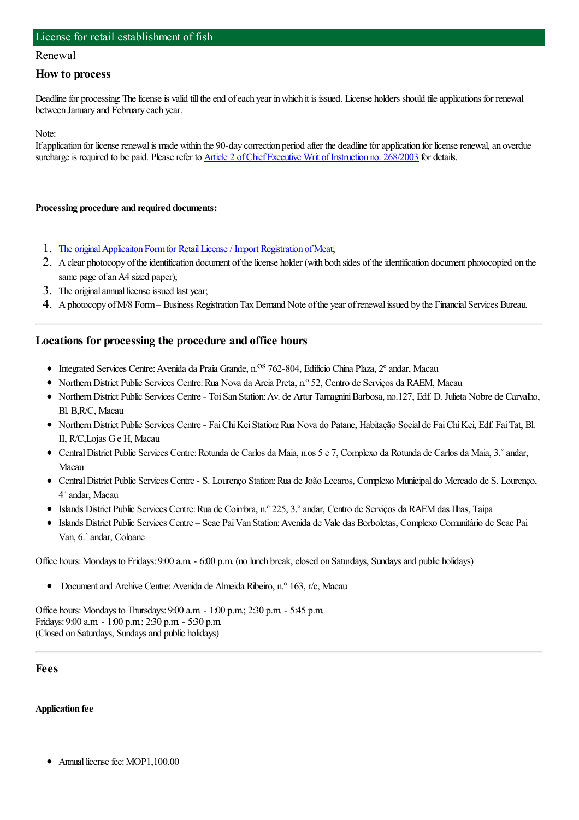#### License for retail establishment of fish

#### Renewal

### **How to process**

Deadline for processing: The license is valid till the end of each year in which it is issued. License holders should file applications for renewal between January and February each year.

Note:

If application for license renewal is made within the 90-day correction period after the deadline for application for license renewal, an overdue surcharge is required to be paid. Please refer to Article 2 of Chief Executive Writ of Instruction no. 268/2003 for details.

#### **Processing procedure and required documents:**

- 1. The original Applicaiton Form for Retail License / Import Registration of Meat;
- 2. A clear photocopy of the identification document of the license holder (with both sides of the identification document photocopied on the same page of an A4 sized paper);
- 3. The original annual license issued last year;
- 4. A photocopy of M/8 Form Business Registration Tax Demand Note of the year of renewal issued by the Financial Services Bureau.

# **Locations for processing the procedure and office hours**

- Integrated Services Centre: Avenida da Praia Grande, n.<sup>os</sup> 762-804, Edifício China Plaza, 2° andar, Macau
- NorthernDistrict Public Services Centre:Rua Nova da Areia Preta, n.º 52, Centro de Serviços da RAEM, Macau
- NorthernDistrict Public Services Centre- ToiSan Station:Av. de Artur TamagniniBarbosa, no.127, Edf. D. Julieta Nobre de Carvalho, Bl. B,R/C, Macau
- NorthernDistrict Public Services Centre- FaiChiKeiStation:Rua Nova do Patane, Habitação Social de FaiChiKei, Edf. FaiTat, Bl. II, R/C,Lojas Ge H, Macau
- CentralDistrict Public Services Centre:Rotunda de Carlos da Maia, n.os 5 e 7, Complexo da Rotunda de Carlos da Maia, 3.˚andar, Macau
- CentralDistrict Public Services Centre- S. Lourenço Station:Rua deJoão Lecaros, Complexo Municipal do Mercado de S. Lourenço, 4˚andar, Macau
- Islands District Public Services Centre:Rua de Coimbra, n.º 225, 3.ºandar, Centro de Serviços da RAEMdas Ilhas, Taipa
- Islands District Public Services Centre Seac PaiVan Station:Avenida de Vale das Borboletas, Complexo Comunitário de Seac Pai Van, 6.˚andar, Coloane

Office hours: Mondays to Fridays: 9:00 a.m. - 6:00 p.m. (no lunch break, closed on Saturdays, Sundays and public holidays)

Documentand Archive Centre:Avenida de Almeida Ribeiro, n.° 163, r/c, Macau

Office hours:Mondays to Thursdays: 9:00 a.m. - 1:00 p.m.; 2:30 p.m. - 5:45 p.m. Fridays: 9:00 a.m. - 1:00 p.m.; 2:30 p.m. - 5:30 p.m. (Closed on Saturdays, Sundays and public holidays)

### **Fees**

#### **Application fee**

Annual license fee: MOP1,100.00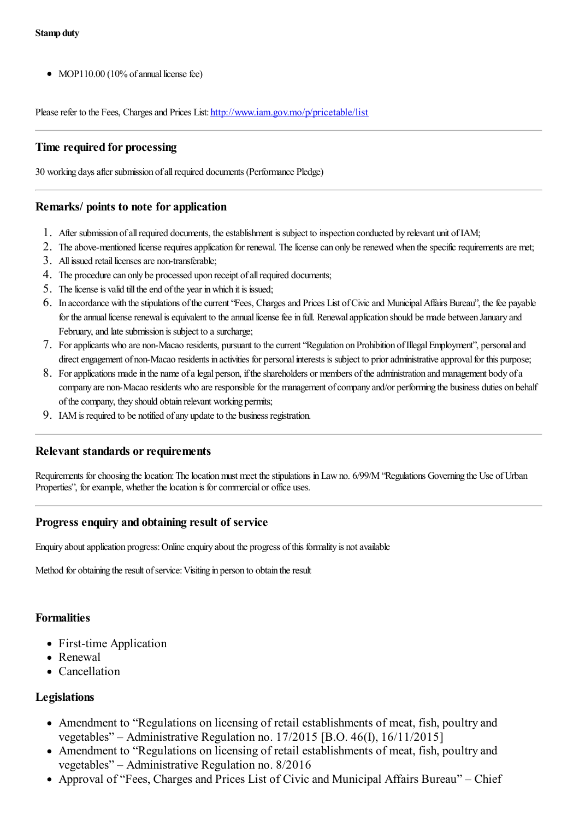• MOP110.00 (10% of annual license fee)

Please refer to the Fees, Charges and Prices List: <http://www.iam.gov.mo/p/pricetable/list>

## **Time required for processing**

30 working daysafter submission ofallrequired documents (Performance Pledge)

# **Remarks/ points to note for application**

- 1. After submission of all required documents, the establishment is subject to inspection conducted by relevant unit of IAM;
- 2. The above-mentioned license requires application for renewal. The license can only be renewed when the specific requirements are met;
- 3. All issued retail licenses are non-transferable;
- 4. The procedure can only be processed upon receipt of all required documents;
- 5. The license is valid till the end of the year in which it is issued;
- 6. In accordance with thestipulations ofthecurrent"Fees, Chargesand Prices List ofCivicand MunicipalAffairs Bureau", thefee payable for the annual license renewal is equivalent to the annual license fee in full. Renewal application should be made between January and February, and late submission is subject to a surcharge;
- 7. Forapplicants who are non-Macao residents, pursuant to thecurrent"Regulation on Prohibition ofIllegalEmployment", personaland direct engagement of non-Macao residents in activities for personal interests is subject to prior administrative approval for this purpose;
- 8. For applications made in the name of a legal person, if the shareholders or members of the administration and management body of a company are non-Macao residents who are responsible for the management of company and/or performing the business duties on behalf of the company, they should obtain relevant working permits;
- 9. IAM is required to be notified of any update to the business registration.

## **Relevant standards or requirements**

Requirements for choosing the location: The location must meet the stipulations in Law no. 6/99/M "Regulations Governing the Use of Urban Properties", for example, whether the location is for commercial or office uses.

## **Progress enquiry and obtaining result of service**

Enquiry about application progress: Online enquiry about the progress of this formality is not available

Method for obtaining the result of service: Visiting in person to obtain the result

## **Formalities**

- First-time Application
- Renewal
- Cancellation

## **Legislations**

- Amendment to "Regulations on licensing of retail establishments of meat, fish, poultry and vegetables" – Administrative Regulation no. 17/2015 [B.O. 46(I), 16/11/2015]
- Amendment to "Regulations on licensing of retail establishments of meat, fish, poultry and vegetables" – Administrative Regulation no. 8/2016
- Approval of "Fees, Charges and Prices List of Civic and Municipal Affairs Bureau" Chief